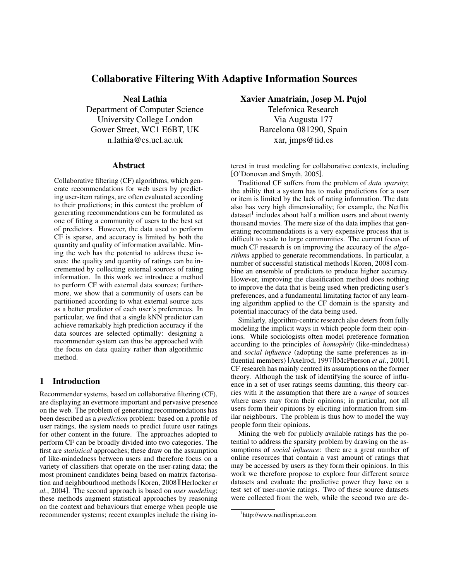# **Collaborative Filtering With Adaptive Information Sources**

**Neal Lathia** Department of Computer Science University College London Gower Street, WC1 E6BT, UK n.lathia@cs.ucl.ac.uk

### **Abstract**

Collaborative filtering (CF) algorithms, which generate recommendations for web users by predicting user-item ratings, are often evaluated according to their predictions; in this context the problem of generating recommendations can be formulated as one of fitting a community of users to the best set of predictors. However, the data used to perform CF is sparse, and accuracy is limited by both the quantity and quality of information available. Mining the web has the potential to address these issues: the quality and quantity of ratings can be incremented by collecting external sources of rating information. In this work we introduce a method to perform CF with external data sources; furthermore, we show that a community of users can be partitioned according to what external source acts as a better predictor of each user's preferences. In particular, we find that a single kNN predictor can achieve remarkably high prediction accuracy if the data sources are selected optimally: designing a recommender system can thus be approached with the focus on data quality rather than algorithmic method.

## **1 Introduction**

Recommender systems, based on collaborative filtering (CF), are displaying an evermore important and pervasive presence on the web. The problem of generating recommendations has been described as a *prediction* problem: based on a profile of user ratings, the system needs to predict future user ratings for other content in the future. The approaches adopted to perform CF can be broadly divided into two categories. The first are *statistical* approaches; these draw on the assumption of like-mindedness between users and therefore focus on a variety of classifiers that operate on the user-rating data; the most prominent candidates being based on matrix factorisation and neighbourhood methods [Koren, 2008][Herlocker *et al.*, 2004]. The second approach is based on *user modeling*; these methods augment statistical approaches by reasoning on the context and behaviours that emerge when people use recommender systems; recent examples include the rising in**Xavier Amatriain, Josep M. Pujol**

Telefonica Research Via Augusta 177 Barcelona 081290, Spain xar, jmps@tid.es

terest in trust modeling for collaborative contexts, including [O'Donovan and Smyth, 2005].

Traditional CF suffers from the problem of *data sparsity*; the ability that a system has to make predictions for a user or item is limited by the lack of rating information. The data also has very high dimensionality; for example, the Netflix dataset<sup>1</sup> includes about half a million users and about twenty thousand movies. The mere size of the data implies that generating recommendations is a very expensive process that is difficult to scale to large communities. The current focus of much CF research is on improving the accuracy of the *algorithms* applied to generate recommendations. In particular, a number of successful statistical methods [Koren, 2008] combine an ensemble of predictors to produce higher accuracy. However, improving the classification method does nothing to improve the data that is being used when predicting user's preferences, and a fundamental limitating factor of any learning algorithm applied to the CF domain is the sparsity and potential inaccuracy of the data being used.

Similarly, algorithm-centric research also deters from fully modeling the implicit ways in which people form their opinions. While sociologists often model preference formation according to the principles of *homophily* (like-mindedness) and *social influence* (adopting the same preferences as influential members) [Axelrod, 1997][McPherson *et al.*, 2001], CF research has mainly centred its assumptions on the former theory. Although the task of identifying the source of influence in a set of user ratings seems daunting, this theory carries with it the assumption that there are a *range* of sources where users may form their opinions; in particular, not all users form their opinions by eliciting information from similar neighbours. The problem is thus how to model the way people form their opinions.

Mining the web for publicly available ratings has the potential to address the sparsity problem by drawing on the assumptions of *social influence*: there are a great number of online resources that contain a vast amount of ratings that may be accessed by users as they form their opinions. In this work we therefore propose to explore four different source datasets and evaluate the predictive power they have on a test set of user-movie ratings. Two of these source datasets were collected from the web, while the second two are de-

<sup>1</sup> http://www.netflixprize.com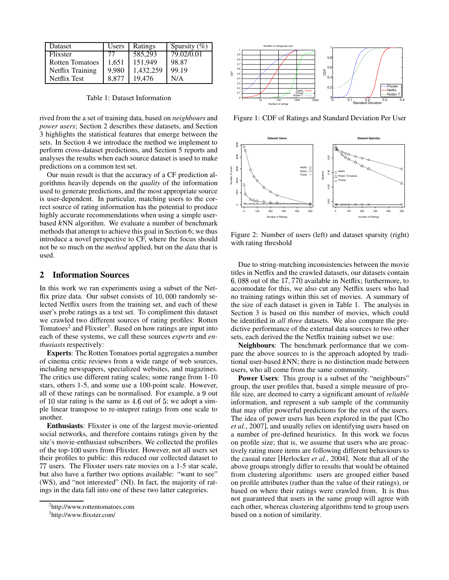| Dataset                | Users | Ratings   | Sparsity $(\%)$ |
|------------------------|-------|-----------|-----------------|
| Flixster               |       | 585,293   | 79.02/0.01      |
| <b>Rotten Tomatoes</b> | 1.651 | 151,949   | 98.87           |
| Netflix Training       | 9,980 | 1,432,259 | 99.19           |
| Netflix Test           | 8.877 | 19.476    | N/A             |

Table 1: Dataset Information

rived from the a set of training data, based on *neighbours* and *power users*; Section 2 describes these datasets, and Section 3 highlights the statistical features that emerge between the sets. In Section 4 we introduce the method we implement to perform cross-dataset predictions, and Section 5 reports and analyses the results when each source dataset is used to make predictions on a common test set.

Our main result is that the accuracy of a CF prediction algorithms heavily depends on the *quality* of the information used to generate predictions, and the most appropriate source is user-dependent. In particular, matching users to the correct source of rating information has the potential to produce highly accurate recommendations when using a simple userbased kNN algorithm. We evaluate a number of benchmark methods that attempt to achieve this goal in Section 6; we thus introduce a novel perspective to CF, where the focus should not be so much on the *method* applied, but on the *data* that is used.

# **2 Information Sources**

In this work we ran experiments using a subset of the Netflix prize data. Our subset consists of  $10,000$  randomly selected Netflix users from the training set, and each of these user's probe ratings as a test set. To compliment this dataset we crawled two different sources of rating profiles: Rotten Tomatoes<sup>2</sup> and Flixster<sup>3</sup>. Based on how ratings are input into each of these systems, we call these sources *experts* and *enthusiasts* respectively:

**Experts**: The Rotten Tomatoes portal aggregates a number of cinema critic reviews from a wide range of web sources, including newspapers, specialized websites, and magazines. The critics use different rating scales; some range from 1-10 stars, others 1-5, and some use a 100-point scale. However, all of these ratings can be normalised. For example, a 9 out of 10 star rating is the same as  $4.6$  out of 5; we adopt a simple linear transpose to re-intepret ratings from one scale to another.

**Enthusiasts**: Flixster is one of the largest movie-oriented social networks, and therefore contains ratings given by the site's movie-enthusiast subscribers. We collected the profiles of the top-100 users from Flixster. However, not all users set their profiles to public: this reduced our collected dataset to users. The Flixster users rate movies on a 1-5 star scale, but also have a further two options available: "want to see" (WS), and "not interested" (NI). In fact, the majority of ratings in the data fall into one of these two latter categories.



<sup>&</sup>lt;sup>3</sup>http://www.flixster.com/



Figure 1: CDF of Ratings and Standard Deviation Per User



Figure 2: Number of users (left) and dataset sparsity (right) with rating threshold

Due to string-matching inconsistencies between the movie titles in Netflix and the crawled datasets, our datasets contain 6, 088 out of the 17, 770 available in Netflix; furthermore, to accomodate for this, we also cut any Netflix users who had no training ratings within this set of movies. A summary of the size of each dataset is given in Table 1. The analysis in Section 3 is based on this number of movies, which could be identified in *all three* datasets. We also compare the predictive performance of the external data sources to two other sets, each derived the the Netflix training subset we use:

**Neighbours**: The benchmark performance that we compare the above sources to is the approach adopted by traditional user-based  $kNN$ ; there is no distinction made between users, who all come from the same community.

**Power Users**: This group is a subset of the "neighbours" group, the user profiles that, based a simple measure of profile size, are deemed to carry a significant amount of *reliable* information, and represent a sub sample of the community that may offer powerful predictions for the rest of the users. The idea of power users has been explored in the past [Cho *et al.*, 2007], and usually relies on identifying users based on a number of pre-defined heuristics. In this work we focus on profile size; that is, we assume that users who are proactively rating more items are following different behaviours to the casual rater [Herlocker *et al.*, 2004]. Note that all of the above groups strongly differ to results that would be obtained from clustering algorithms: users are grouped either based on profile attributes (rather than the value of their ratings), or based on where their ratings were crawled from. It is thus not guaranteed that users in the same group will agree with each other, whereas clustering algorithms tend to group users based on a notion of similarity.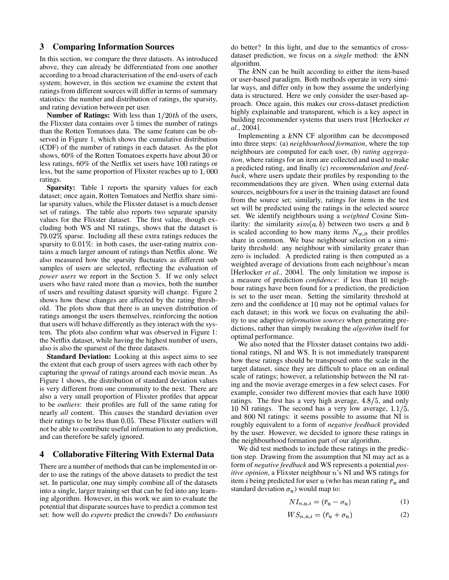### **3 Comparing Information Sources**

In this section, we compare the three datasets. As introduced above, they can already be differentiated from one another according to a broad characterisation of the end-users of each system; however, in this section we examine the extent that ratings from different sources will differ in terms of summary statistics: the number and distribution of ratings, the sparsity, and rating deviation between per user.

**Number of Ratings:** With less than  $1/20$ th of the users, the Flixster data contains over 5 times the number of ratings than the Rotten Tomatoes data. The same feature can be observed in Figure 1, which shows the cumulative distribution (CDF) of the number of ratings in each dataset. As the plot shows, 60% of the Rotten Tomatoes experts have about 30 or  $\frac{hc}{dt}$ less ratings, 60% of the Netflix set users have 100 ratings or less, but the same proportion of Flixster reaches up to  $1,00$ ratings.

**Sparsity:** Table 1 reports the sparsity values for each dataset; once again, Rotten Tomatoes and Netflix share similar sparsity values, while the Flixster dataset is a much denser set of ratings. The table also reports two separate sparsity values for the Flixster dataset. The first value, though excluding both WS and NI ratings, shows that the dataset is 79.02% sparse. Including all these extra ratings reduces the sparsity to  $0.01\%$ : in both cases, the user-rating matrix contains a much larger amount of ratings than Netflix alone. We also measured how the sparsity fluctuates as different sub samples of users are selected, reflecting the evaluation of *power users* we report in the Section 5. If we only select users who have rated more than  $\alpha$  movies, both the number of users and resulting dataset sparsity will change. Figure 2 shows how these changes are affected by the rating threshold. The plots show that there is an uneven distribution of ratings amongst the users themselves, reinforcing the notion that users will behave differently as they interact with the system. The plots also confirm what was observed in Figure 1: the Netflix dataset, while having the highest number of users, also is also the sparsest of the three datasets.

**Standard Deviation:** Looking at this aspect aims to see the extent that each group of users agrees with each other by capturing the *spread* of ratings around each movie mean. As Figure 1 shows, the distribution of standard deviation values is very different from one community to the next. There are also a very small proportion of Flixster profiles that appear to be *outliers*: their profiles are full of the same rating for nearly *all* content. This causes the standard deviation over their ratings to be less than 0.05. These Flixster outliers will not be able to contribute useful information to any prediction, and can therefore be safely ignored.

# **4 Collaborative Filtering With External Data**

There are a number of methods that can be implemented in order to use the ratings of the above datasets to predict the test set. In particular, one may simply combine all of the datasets into a single, larger training set that can be fed into any learning algorithm. However, in this work we aim to evaluate the potential that disparate sources have to predict a common test set: how well do *experts* predict the crowds? Do *enthusiasts* do better? In this light, and due to the semantics of crossdataset prediction, we focus on a *single* method: the NN algorithm.

The kNN can be built according to either the item-based or user-based paradigm. Both methods operate in very similar ways, and differ only in how they assume the underlying data is structured. Here we only consider the user-based approach. Once again, this makes our cross-dataset prediction highly explainable and transparent, which is a key aspect in building recommender systems that users trust [Herlocker *et al.*, 2004].

 *back*, where users update their profiles by responding to the Implementing a kNN CF algorithm can be decomposed into three steps: (a) *neighbourhood formation*, where the top neighbours are computed for each user, (b) *rating aggregation*, where ratings for an item are collected and used to make a predicted rating, and finally (c) *recommendation and feed*recommendations they are given. When using external data sources, neighbours for a user in the training dataset are found from the source set; similarly, ratings for items in the test set will be predicted using the ratings in the selected source set. We identify neighbours using a *weighted* Cosine Similarity: the similarity  $sim(a, b)$  between two users a and b is scaled according to how many items  $N_{a\cup b}$  their profiles share in common. We base neighbour selection on a similarity threshold: any neighbour with similarity greater than zero is included. A predicted rating is then computed as a weighted average of deviations from each neighbour's mean [Herlocker *et al.*, 2004]. The only limitation we impose is a measure of prediction *confidence*: if less than 10 neighbour ratings have been found for a prediction, the prediction is set to the user mean. Setting the similarity threshold at zero and the confidence at 10 may not be optimal values for each dataset; in this work we focus on evaluating the ability to use adaptive *information sources* when generating predictions, rather than simply tweaking the *algorithm* itself for optimal performance.

We also noted that the Flixster dataset contains two additional ratings, NI and WS. It is not immediately transparent how these ratings should be transposed onto the scale in the target dataset, since they are difficult to place on an ordinal scale of ratings; however, a relationship between the NI rating and the movie average emerges in a few select cases. For example, consider two different movies that each have 100 ratings. The first has a very high average,  $4.8/5$ , and only 10 NI ratings. The second has a very low average,  $1.1/5$ , and 800 NI ratings: it seems possible to assume that NI is roughly equivalent to a form of *negative feedback* provided by the user. However, we decided to ignore these ratings in the neighbourhood formation part of our algorithm.

We did test methods to include these ratings in the prediction step. Drawing from the assumption that NI may act as a form of *negative feedback* and WS represents a potential *positive opinion*, a Flixster neighbour n's NI and WS ratings for item *i* being predicted for user u (who has mean rating  $\bar{r}_u$  and standard deviation  $\sigma_u$ ) would map to:

$$
NI_{n,u,i} = (\bar{r}_u - \sigma_u) \tag{1}
$$

$$
WS_{n,u,i} = (\bar{r}_u + \sigma_u) \tag{2}
$$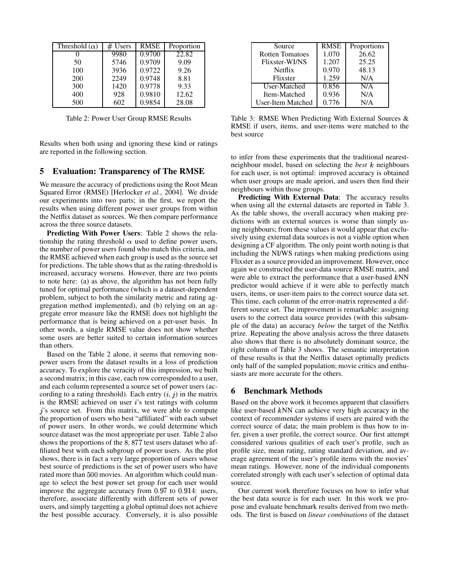| Threshold $(\alpha)$ | # Users | <b>RMSE</b> | Proportion |
|----------------------|---------|-------------|------------|
|                      | 9980    | 0.9700      | 22.82      |
| 50                   | 5746    | 0.9709      | 9.09       |
| 100                  | 3936    | 0.9722      | 9.26       |
| 200                  | 2249    | 0.9748      | 8.81       |
| 300                  | 1420    | 0.9778      | 9.33       |
| 400                  | 928     | 0.9810      | 12.62      |
| 500                  | 602     | 0.9854      | 28.08      |

Table 2: Power User Group RMSE Results

Results when both using and ignoring these kind or ratings are reported in the following section.

#### **5 Evaluation: Transparency of The RMSE**

We measure the accuracy of predictions using the Root Mean Squared Error (RMSE) [Herlocker *et al.*, 2004]. We divide our experiments into two parts; in the first, we report the results when using different power user groups from within the Netflix dataset as sources. We then compare performance across the three source datasets.

**Predicting With Power Users**: Table 2 shows the relationship the rating threshold  $\alpha$  used to define power users, the number of power users found who match this criteria, and the RMSE achieved when each group is used as the source set for predictions. The table shows that as the rating-threshold is increased, accuracy worsens. However, there are two points to note here: (a) as above, the algorithm has not been fully tuned for optimal performance (which is a dataset-dependent problem, subject to both the similarity metric and rating aggregation method implemented), and (b) relying on an aggregate error measure like the RMSE does not highlight the performance that is being achieved on a per-user basis. In other words, a single RMSE value does not show whether some users are better suited to certain information sources than others.

Based on the Table 2 alone, it seems that removing nonpower users from the dataset results in a loss of prediction accuracy. To explore the veracity of this impression, we built a second matrix; in this case, each row corresponded to a user, and each column represented a source set of power users (according to a rating threshold). Each entry  $(i, j)$  in the matrix is the RMSE achieved on user  $i$ 's test ratings with column  $j$ 's source set. From this matrix, we were able to compute the proportion of users who best "affiliated" with each subset of power users. In other words, we could determine which source dataset was the most appropriate per user. Table 2 also shows the proportions of the  $8,877$  test users dataset who affiliated best with each subgroup of power users. As the plot shows, there is in fact a very large proportion of users whose best source of predictions is the set of power users who have rated more than 500 movies. An algorithm which could manage to select the best power set group for each user would improve the aggregate accuracy from  $0.97$  to  $0.914$ : users, therefore, associate differently with different sets of power users, and simply targetting a global optimal does not achieve the best possible accuracy. Conversely, it is also possible

| Source                 | <b>RMSE</b> | Proportions |
|------------------------|-------------|-------------|
| <b>Rotten Tomatoes</b> | 1.070       | 26.62       |
| Flixster-WI/NS         | 1.207       | 25.25       |
| Netflix                | 0.970       | 48.13       |
| Flixster               | 1.259       | N/A         |
| User-Matched           | 0.856       | N/A         |
| Item-Matched           | 0.936       | N/A         |
| User-Item Matched      | 0.776       | N/A         |

Table 3: RMSE When Predicting With External Sources & RMSE if users, items, and user-items were matched to the best source

to infer from these experiments that the traditional nearestneighbour model, based on selecting the *best* neighbours for each user, is not optimal: improved accuracy is obtained when user groups are made apriori, and users then find their neighbours within those groups.

**Predicting With External Data**: The accuracy results when using all the external datasets are reported in Table 3. As the table shows, the overall accuracy when making predictions with an external sources is worse than simply using neighbours; from these values it would appear that exclusively using external data sources is not a viable option when designing a CF algorithm. The only point worth noting is that including the NI/WS ratings when making predictions using Flixster as a source provided an improvement. However, once again we constructed the user-data source RMSE matrix, and were able to extract the performance that a user-based kNN predictor would achieve if it were able to perfectly match users, items, or user-item pairs to the correct source data set. This time, each column of the error-matrix represented a different source set. The improvement is remarkable: assigning users to the correct data source provides (with this subsample of the data) an accuracy *below* the target of the Netflix prize. Repeating the above analysis across the three datasets also shows that there is no absolutely dominant source, the right column of Table 3 shows. The semantic interpretation of these results is that the Netflix dataset optimally predicts only half of the sampled population; movie critics and enthusiasts are more accurate for the others.

## **6 Benchmark Methods**

Based on the above work it becomes apparent that classifiers like user-based kNN can achieve very high accuracy in the context of recommender systems if users are paired with the correct source of data; the main problem is thus how to infer, given a user profile, the correct source. Our first attempt considered various qualities of each user's profile, such as profile size, mean rating, rating standard deviation, and average agreement of the user's profile items with the movies' mean ratings. However, none of the individual components correlated strongly with each user's selection of optimal data source.

Our current work therefore focuses on how to infer what the best data source is for each user. In this work we propose and evaluate benchmark results derived from two methods. The first is based on *linear combinations* of the dataset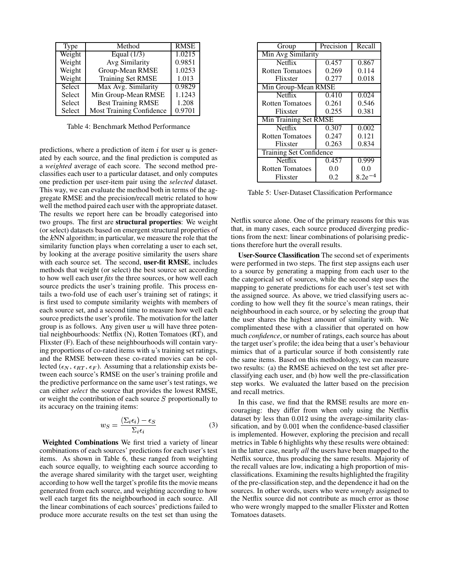| Type   | Method                          | <b>RMSE</b> |
|--------|---------------------------------|-------------|
| Weight | Equal $(1/3)$                   | 1.0215      |
| Weight | Avg Similarity                  | 0.9851      |
| Weight | Group-Mean RMSE                 | 1.0253      |
| Weight | <b>Training Set RMSE</b>        | 1.013       |
| Select | Max Avg. Similarity             | 0.9829      |
| Select | Min Group-Mean RMSE             | 1.1243      |
| Select | <b>Best Training RMSE</b>       | 1.208       |
| Select | <b>Most Training Confidence</b> | 0.9701      |

Table 4: Benchmark Method Performance

predictions, where a prediction of item  $i$  for user  $u$  is generated by each source, and the final prediction is computed as a *weighted* average of each score. The second method preclassifies each user to a particular dataset, and only computes one prediction per user-item pair using the *selected* dataset. This way, we can evaluate the method both in terms of the aggregate RMSE and the precision/recall metric related to how well the method paired each user with the appropriate dataset. The results we report here can be broadly categorised into two groups. The first are **structural properties**: We weight (or select) datasets based on emergent structural properties of the NN algorithm; in particular, we measure the role that the similarity function plays when correlating a user to each set, by looking at the average positive similarity the users share with each source set. The second, **user-fit RMSE**, includes methods that weight (or select) the best source set according to how well each user *fits* the three sources, or how well each source predicts the user's training profile. This process entails a two-fold use of each user's training set of ratings; it is first used to compute similarity weights with members of each source set, and a second time to measure how well each source predicts the user's profile. The motivation for the latter group is as follows. Any given user  $u$  will have three potential neighbourhoods: Netflix (N), Rotten Tomatoes (RT), and Flixster (F). Each of these neighbourhoods will contain varying proportions of co-rated items with  $u$ 's training set ratings, and the RMSE between these co-rated movies can be collected ( $\epsilon_N$ ,  $\epsilon_{RT}$ ,  $\epsilon_F$ ). Assuming that a relationship exists between each source's RMSE on the user's training profile and the predictive performance on the same user's test ratings, we can either *select* the source that provides the lowest RMSE, or weight the contribution of each source  $S$  proportionally to its accuracy on the training items:

$$
w_S = \frac{(\Sigma_i \epsilon_i) - \epsilon_S}{\Sigma_i \epsilon_i} \tag{3}
$$

**Weighted Combinations** We first tried a variety of linear combinations of each sources' predictions for each user's test items. As shown in Table 6, these ranged from weighting each source equally, to weighting each source according to the average shared similarity with the target user, weighting according to how well the target's profile fits the movie means generated from each source, and weighting according to how well each target fits the neighbourhood in each source. All the linear combinations of each sources' predictions failed to produce more accurate results on the test set than using the

| Group                          | Precision | Recall      |  |
|--------------------------------|-----------|-------------|--|
| Min Avg Similarity             |           |             |  |
| Netflix                        | 0.457     | 0.867       |  |
| <b>Rotten Tomatoes</b>         | 0.269     | 0.114       |  |
| Flixster                       | 0.277     | 0.018       |  |
| Min Group-Mean RMSE            |           |             |  |
| <b>Netflix</b>                 | 0.410     | 0.024       |  |
| <b>Rotten Tomatoes</b>         | 0.261     | 0.546       |  |
| Flixster                       | 0.255     | 0.381       |  |
| Min Training Set RMSE          |           |             |  |
| Netflix                        | 0.307     | 0.002       |  |
| Rotten Tomatoes                | 0.247     | 0.121       |  |
| Flixster                       | 0.263     | 0.834       |  |
| <b>Training Set Confidence</b> |           |             |  |
| Netflix                        | 0.457     | 0.999       |  |
| <b>Rotten Tomatoes</b>         | 0.0       | 0.0         |  |
| Flixster                       | 0.2       | $8.2e^{-4}$ |  |

Table 5: User-Dataset Classification Performance

Netflix source alone. One of the primary reasons for this was that, in many cases, each source produced diverging predictions from the next: linear combinations of polarising predictions therefore hurt the overall results.

**User-Source Classification** The second set of experiments were performed in two steps. The first step assigns each user to a source by generating a mapping from each user to the the categorical set of sources, while the second step uses the mapping to generate predictions for each user's test set with the assigned source. As above, we tried classifying users according to how well they fit the source's mean ratings, their neighbourhood in each source, or by selecting the group that the user shares the highest amount of similarity with. We complimented these with a classifier that operated on how much *confidence*, or number of ratings, each source has about the target user's profile; the idea being that a user's behaviour mimics that of a particular source if both consistently rate the same items. Based on this methodology, we can measure two results: (a) the RMSE achieved on the test set after preclassifying each user, and (b) how well the pre-classification step works. We evaluated the latter based on the precision and recall metrics.

In this case, we find that the RMSE results are more encouraging: they differ from when only using the Netflix dataset by less than 0.012 using the average-similarity classification, and by 0.001 when the confidence-based classifier is implemented. However, exploring the precision and recall metrics in Table 6 highlights why these results were obtained: in the latter case, nearly *all* the users have been mapped to the Netflix source, thus producing the same results. Majority of the recall values are low, indicating a high proportion of misclassifications. Examining the results highlighted the fragility of the pre-classification step, and the dependence it had on the sources. In other words, users who were *wrongly* assigned to the Netflix source did not contribute as much error as those who were wrongly mapped to the smaller Flixster and Rotten Tomatoes datasets.